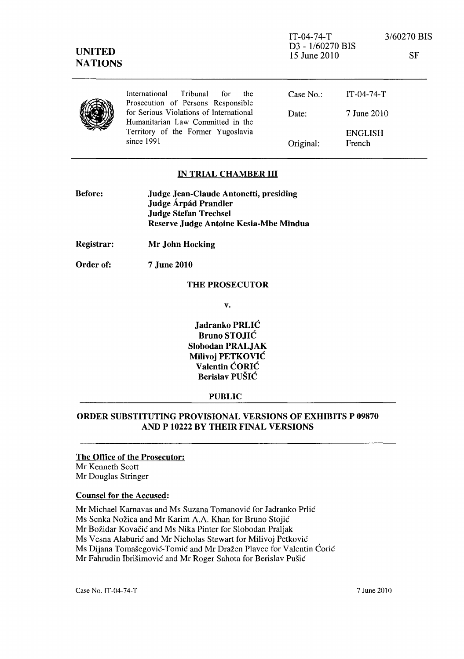

### IN TRIAL CHAMBER III

| <b>Before:</b> | Judge Jean-Claude Antonetti, presiding |
|----------------|----------------------------------------|
|                | Judge Árpád Prandler                   |
|                | <b>Judge Stefan Trechsel</b>           |
|                | Reserve Judge Antoine Kesia-Mbe Mindua |

Registrar: Mr John Hocking

Order of: 7 June 2010

### THE PROSECUTOR

v.

Jadranko PRLIC Bruno STOJIC Slobodan PRALJAK Milivoj PETKOVIC Valentin CORIC Berislav PUSIC

#### PUBLIC

# ORDER SUBSTITUTING PROVISIONAL VERSIONS OF EXHIBITS P 09870 AND P 10222 BY THEIR FINAL VERSIONS

#### The Office of the Prosecutor: Mr Kenneth Scott

Mr Douglas Stringer

#### Counsel for the Accused:

Mr Michael Karnavas and Ms Suzana Tomanovic for Jadranko Prlic Ms Senka Nozica and Mr Karim A.A. Khan for Bruno Stojic Mr Božidar Kovačić and Ms Nika Pinter for Slobodan Praljak Ms Vesna Alaburic and Mr Nicholas Stewart for Milivoj Petkovic Ms Dijana Tomasegovic-Tornic and Mr Drazen Plavec for Valentin Coric Mr Fahrudin Ibrisimovic and Mr Roger Sahota for Berislav Pusic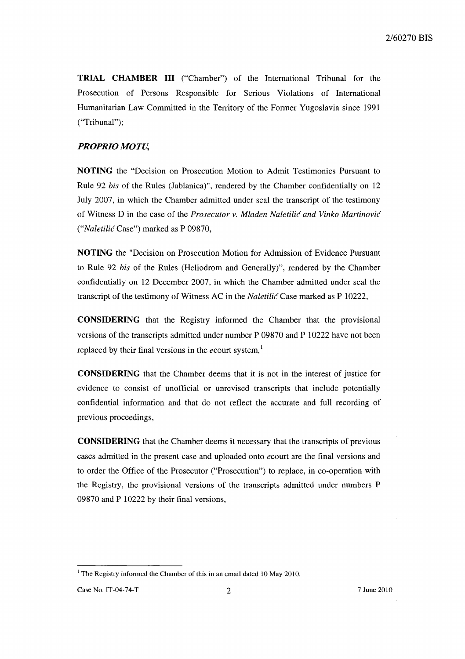**TRIAL CHAMBER III** ("Chamber") of the International Tribunal for the Prosecution of Persons Responsible for Serious Violations of International Humanitarian Law Committed in the Territory of the Former Yugoslavia since 1991 ("Tribunal");

# *PROPRIO MOTU,*

**NOTING** the "Decision on Prosecution Motion to Admit Testimonies Pursuant to Rule 92 *his* of the Rules (Jablanica)", rendered by the Chamber confidentially on 12 July 2007, in which the Chamber admitted under seal the transcript of the testimony of Witness D in the case of the *Prosecutor v. Mladen Naletilic and Vinko Martinovic ("Naletilic* Case") marked as P 09870,

**NOTING** the "Decision on Prosecution Motion for Admission of Evidence Pursuant to Rule 92 *his* of the Rules (Heliodrom and Generally)", rendered by the Chamber confidentially on 12 December 2007, in which the Chamber admitted under seal the transcript of the testimony of Witness AC in the *Naletilic* Case marked as P 10222,

**CONSIDERING** that the Registry informed the Chamber that the provisional versions of the transcripts admitted under number P 09870 and P 10222 have not been replaced by their final versions in the *ecourt* system,<sup>1</sup>

**CONSIDERING** that the Chamber deems that it is not in the interest of justice for evidence to consist of unofficial or unrevised transcripts that include potentially confidential information and that do not reflect the accurate and full recording of previous proceedings,

**CONSIDERING** that the Chamber deems it necessary that the transcripts of previous cases admitted in the present case and uploaded onto *ecourt* are the final versions and to order the Office of the Prosecutor ("Prosecution") to replace, in co-operation with the Registry, the provisional versions of the transcripts admitted under numbers P 09870 and P 10222 by their final versions,

 $1$  The Registry informed the Chamber of this in an email dated 10 May 2010.